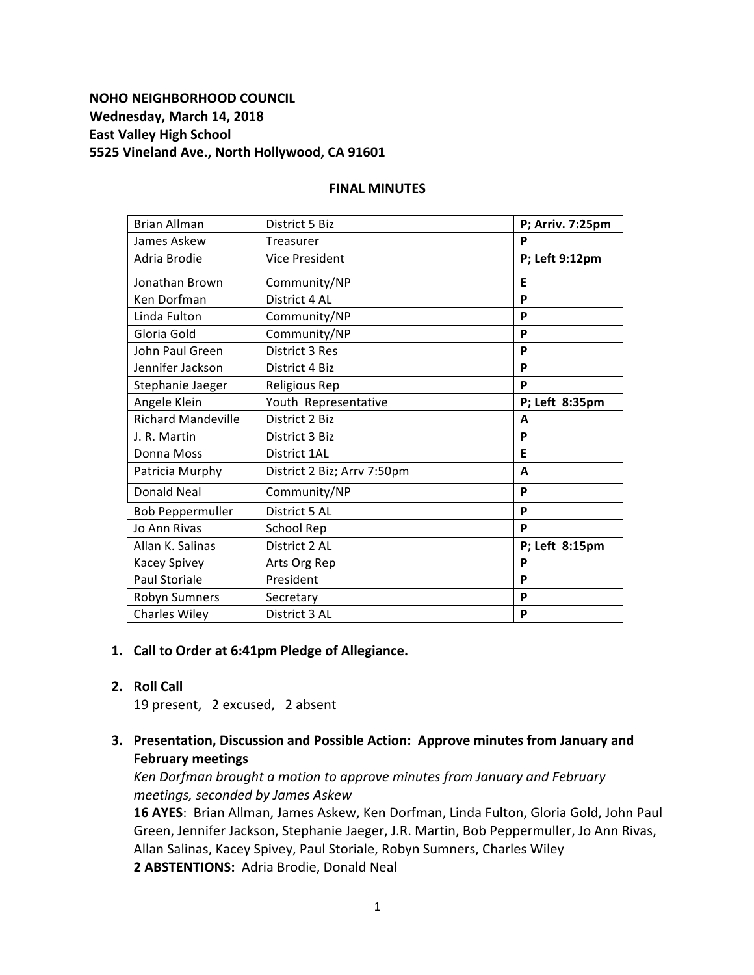# **NOHO NEIGHBORHOOD COUNCIL Wednesday, March 14, 2018 East Valley High School 5525 Vineland Ave., North Hollywood, CA 91601**

### **FINAL MINUTES**

| <b>Brian Allman</b>       | District 5 Biz              | P; Arriv. 7:25pm |
|---------------------------|-----------------------------|------------------|
| James Askew               | <b>Treasurer</b>            | P                |
| Adria Brodie              | <b>Vice President</b>       | P; Left 9:12pm   |
| Jonathan Brown            | Community/NP                | E                |
| Ken Dorfman               | District 4 AL               | P                |
| Linda Fulton              | Community/NP                | P                |
| Gloria Gold               | Community/NP                | P                |
| John Paul Green           | District 3 Res              | P                |
| Jennifer Jackson          | District 4 Biz              | P                |
| Stephanie Jaeger          | Religious Rep               | P                |
| Angele Klein              | Youth Representative        | P; Left 8:35pm   |
| <b>Richard Mandeville</b> | District 2 Biz              | A                |
| J. R. Martin              | District 3 Biz              | P                |
| Donna Moss                | District 1AL                | E                |
| Patricia Murphy           | District 2 Biz; Arrv 7:50pm | A                |
| <b>Donald Neal</b>        | Community/NP                | P                |
| <b>Bob Peppermuller</b>   | District 5 AL               | P                |
| <b>Jo Ann Rivas</b>       | School Rep                  | P                |
| Allan K. Salinas          | District 2 AL               | P; Left 8:15pm   |
| Kacey Spivey              | Arts Org Rep                | P                |
| <b>Paul Storiale</b>      | President                   | P                |
| Robyn Sumners             | Secretary                   | P                |
| <b>Charles Wiley</b>      | District 3 AL               | P                |

#### 1. Call to Order at 6:41pm Pledge of Allegiance.

# **2. Roll Call**

19 present, 2 excused, 2 absent

**3. Presentation, Discussion and Possible Action: Approve minutes from January and February meetings**

Ken Dorfman brought a motion to approve minutes from January and February *meetings, seconded by James Askew*

16 AYES: Brian Allman, James Askew, Ken Dorfman, Linda Fulton, Gloria Gold, John Paul Green, Jennifer Jackson, Stephanie Jaeger, J.R. Martin, Bob Peppermuller, Jo Ann Rivas, Allan Salinas, Kacey Spivey, Paul Storiale, Robyn Sumners, Charles Wiley 2 **ABSTENTIONS:** Adria Brodie, Donald Neal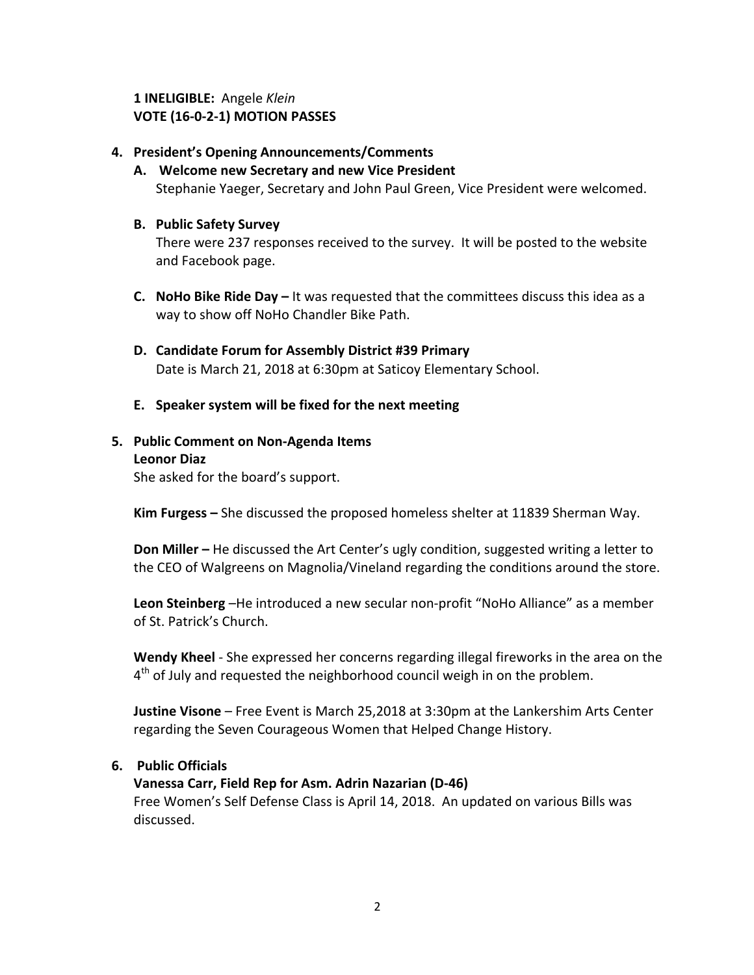1 **INELIGIBLE:** Angele *Klein* **VOTE (16-0-2-1) MOTION PASSES**

### **4. President's Opening Announcements/Comments**

- A. Welcome new Secretary and new Vice President Stephanie Yaeger, Secretary and John Paul Green, Vice President were welcomed.
- **B. Public Safety Survey**

There were 237 responses received to the survey. It will be posted to the website and Facebook page.

- **C.** NoHo Bike Ride Day It was requested that the committees discuss this idea as a way to show off NoHo Chandler Bike Path.
- **D. Candidate Forum for Assembly District #39 Primary** Date is March 21, 2018 at 6:30pm at Saticoy Elementary School.
- **E. Speaker system will be fixed for the next meeting**

### **5.** Public Comment on Non-Agenda Items **Leonor Diaz**

She asked for the board's support.

**Kim Furgess** – She discussed the proposed homeless shelter at 11839 Sherman Way.

**Don Miller** – He discussed the Art Center's ugly condition, suggested writing a letter to the CEO of Walgreens on Magnolia/Vineland regarding the conditions around the store.

**Leon Steinberg** –He introduced a new secular non-profit "NoHo Alliance" as a member of St. Patrick's Church.

**Wendy Kheel** - She expressed her concerns regarding illegal fireworks in the area on the  $4<sup>th</sup>$  of July and requested the neighborhood council weigh in on the problem.

**Justine Visone** – Free Event is March 25,2018 at 3:30pm at the Lankershim Arts Center regarding the Seven Courageous Women that Helped Change History.

## **6. Public Officials**

## **Vanessa Carr, Field Rep for Asm. Adrin Nazarian (D-46)**

Free Women's Self Defense Class is April 14, 2018. An updated on various Bills was discussed.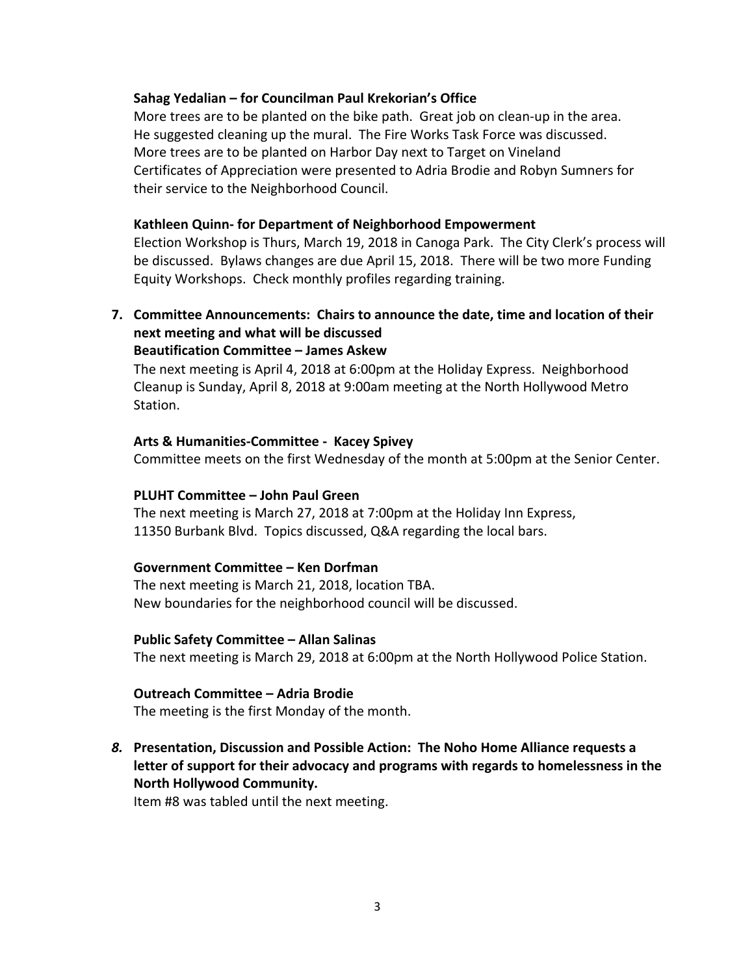### Sahag Yedalian – for Councilman Paul Krekorian's Office

More trees are to be planted on the bike path. Great job on clean-up in the area. He suggested cleaning up the mural. The Fire Works Task Force was discussed. More trees are to be planted on Harbor Day next to Target on Vineland Certificates of Appreciation were presented to Adria Brodie and Robyn Sumners for their service to the Neighborhood Council.

### **Kathleen Quinn- for Department of Neighborhood Empowerment**

Election Workshop is Thurs, March 19, 2018 in Canoga Park. The City Clerk's process will be discussed. Bylaws changes are due April 15, 2018. There will be two more Funding Equity Workshops. Check monthly profiles regarding training.

# **7.** Committee Announcements: Chairs to announce the date, time and location of their **next meeting and what will be discussed Beautification Committee – James Askew**

The next meeting is April 4, 2018 at 6:00pm at the Holiday Express. Neighborhood Cleanup is Sunday, April 8, 2018 at 9:00am meeting at the North Hollywood Metro Station.

### **Arts & Humanities-Committee - Kacey Spivey**

Committee meets on the first Wednesday of the month at 5:00pm at the Senior Center.

#### **PLUHT Committee - John Paul Green**

The next meeting is March 27, 2018 at 7:00pm at the Holiday Inn Express, 11350 Burbank Blvd. Topics discussed, Q&A regarding the local bars.

#### **Government Committee – Ken Dorfman**

The next meeting is March 21, 2018, location TBA. New boundaries for the neighborhood council will be discussed.

#### **Public Safety Committee – Allan Salinas**

The next meeting is March 29, 2018 at 6:00pm at the North Hollywood Police Station.

#### **Outreach Committee – Adria Brodie**

The meeting is the first Monday of the month.

# **8.** Presentation, Discussion and Possible Action: The Noho Home Alliance requests a letter of support for their advocacy and programs with regards to homelessness in the **North Hollywood Community.**

Item #8 was tabled until the next meeting.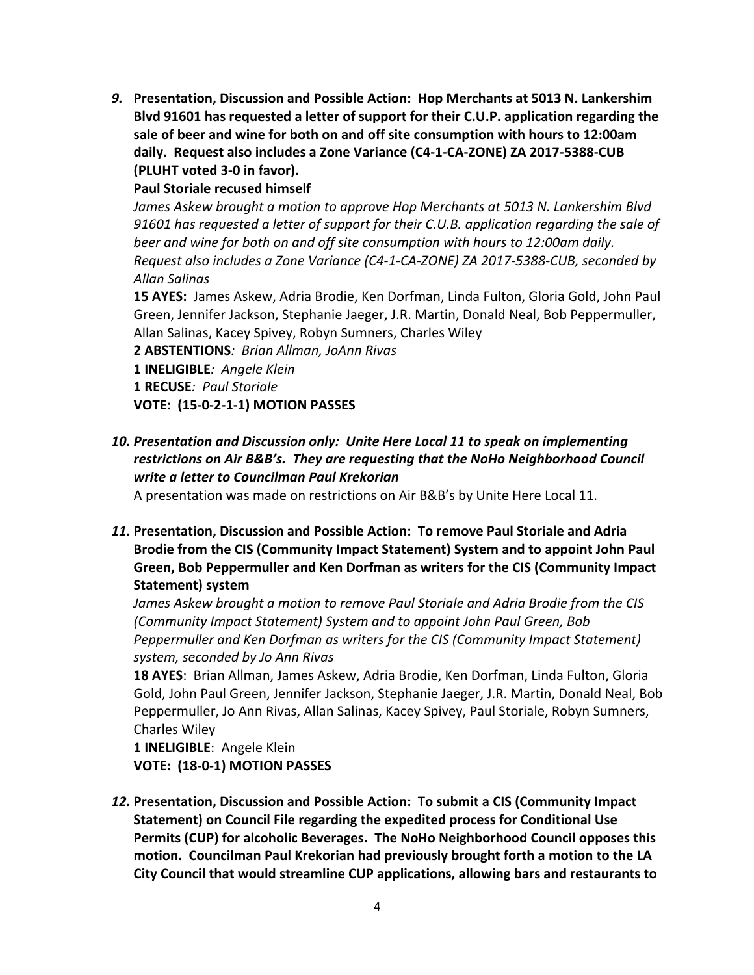9. Presentation, Discussion and Possible Action: Hop Merchants at 5013 N. Lankershim Blyd 91601 has requested a letter of support for their C.U.P. application regarding the sale of beer and wine for both on and off site consumption with hours to 12:00am daily. Request also includes a Zone Variance (C4-1-CA-ZONE) ZA 2017-5388-CUB **(PLUHT voted 3-0 in favor).**

**Paul Storiale recused himself** 

*James Askew brought a motion to approve Hop Merchants at 5013 N. Lankershim Blvd* 91601 has requested a letter of support for their C.U.B. application regarding the sale of *beer* and wine for both on and off site consumption with hours to 12:00am daily. *Request also includes a Zone Variance (C4-1-CA-ZONE) ZA 2017-5388-CUB, seconded by Allan Salinas*

15 AYES: James Askew, Adria Brodie, Ken Dorfman, Linda Fulton, Gloria Gold, John Paul Green, Jennifer Jackson, Stephanie Jaeger, J.R. Martin, Donald Neal, Bob Peppermuller, Allan Salinas, Kacey Spivey, Robyn Sumners, Charles Wiley

**2 ABSTENTIONS***: Brian Allman, JoAnn Rivas* **1 INELIGIBLE***: Angele Klein* **1 RECUSE***: Paul Storiale* **VOTE: (15-0-2-1-1) MOTION PASSES**

- 
- 10. Presentation and Discussion only: Unite Here Local 11 to speak on implementing restrictions on Air B&B's. They are requesting that the NoHo Neighborhood Council *write a letter to Councilman Paul Krekorian*

A presentation was made on restrictions on Air B&B's by Unite Here Local 11.

11. Presentation, Discussion and Possible Action: To remove Paul Storiale and Adria Brodie from the CIS (Community Impact Statement) System and to appoint John Paul Green, Bob Peppermuller and Ken Dorfman as writers for the CIS (Community Impact **Statement) system**

James Askew brought a motion to remove Paul Storiale and Adria Brodie from the CIS *(Community Impact Statement)* System and to appoint John Paul Green, Bob *Peppermuller* and *Ken Dorfman as writers for the CIS (Community Impact Statement) system, seconded by Jo Ann Rivas*

**18 AYES**: Brian Allman, James Askew, Adria Brodie, Ken Dorfman, Linda Fulton, Gloria Gold, John Paul Green, Jennifer Jackson, Stephanie Jaeger, J.R. Martin, Donald Neal, Bob Peppermuller, Jo Ann Rivas, Allan Salinas, Kacey Spivey, Paul Storiale, Robyn Sumners, Charles Wiley

1 **INELIGIBLE**: Angele Klein **VOTE: (18-0-1) MOTION PASSES** 

12. Presentation, Discussion and Possible Action: To submit a CIS (Community Impact **Statement)** on Council File regarding the expedited process for Conditional Use **Permits (CUP) for alcoholic Beverages. The NoHo Neighborhood Council opposes this** motion. Councilman Paul Krekorian had previously brought forth a motion to the LA **City Council that would streamline CUP applications, allowing bars and restaurants to**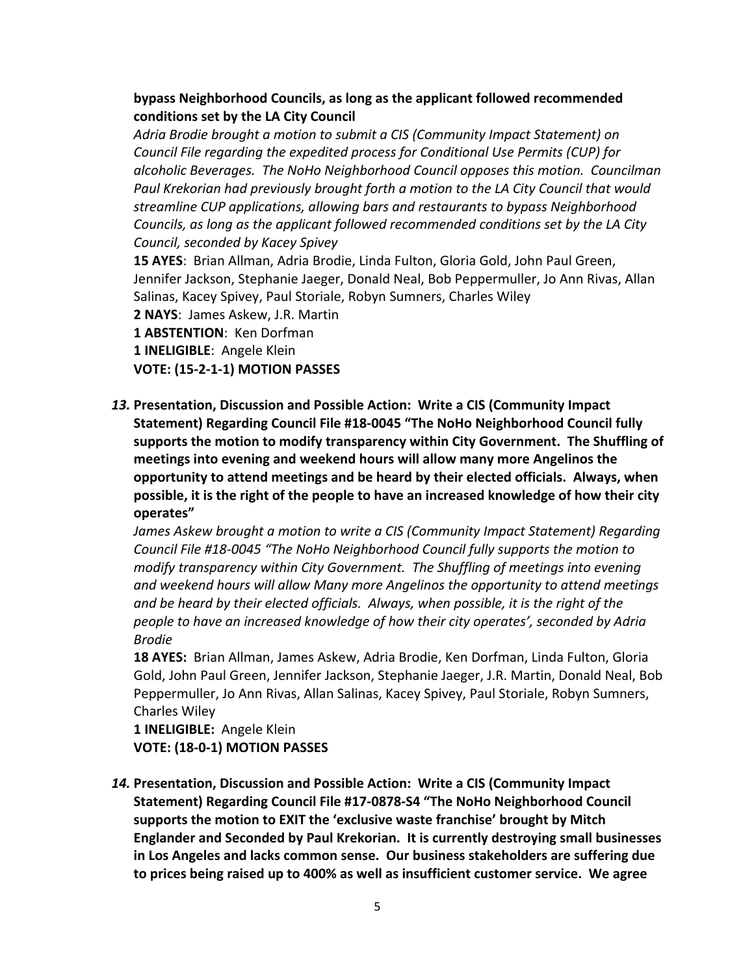# **bypass Neighborhood Councils, as long as the applicant followed recommended conditions set by the LA City Council**

Adria Brodie brought a motion to submit a CIS (Community Impact Statement) on *Council File regarding the expedited process for Conditional Use Permits (CUP) for alcoholic Beverages. The NoHo Neighborhood Council opposes this motion. Councilman* Paul Krekorian had previously brought forth a motion to the LA City Council that would *streamline CUP applications, allowing bars and restaurants to bypass Neighborhood Councils, as long as the applicant followed recommended conditions set by the LA City Council, seconded by Kacey Spivey*

**15 AYES:** Brian Allman, Adria Brodie, Linda Fulton, Gloria Gold, John Paul Green, Jennifer Jackson, Stephanie Jaeger, Donald Neal, Bob Peppermuller, Jo Ann Rivas, Allan Salinas, Kacey Spivey, Paul Storiale, Robyn Sumners, Charles Wiley

**2 NAYS: James Askew, J.R. Martin** 

1 **ABSTENTION:** Ken Dorfman

**1 INELIGIBLE:** Angele Klein

**VOTE: (15-2-1-1) MOTION PASSES** 

13. Presentation, Discussion and Possible Action: Write a CIS (Community Impact Statement) Regarding Council File #18-0045 "The NoHo Neighborhood Council fully supports the motion to modify transparency within City Government. The Shuffling of meetings into evening and weekend hours will allow many more Angelinos the **opportunity to attend meetings and be heard by their elected officials. Always, when possible, it is the right of the people to have an increased knowledge of how their city operates"**

*James Askew brought a motion to write a CIS (Community Impact Statement)* Regarding *Council File #18-0045* "The NoHo Neighborhood Council fully supports the motion to *modify transparency within City Government. The Shuffling of meetings into evening* and weekend hours will allow Many more Angelinos the opportunity to attend meetings and be heard by their elected officials. Always, when possible, it is the right of the people to have an increased knowledge of how their city operates', seconded by Adria *Brodie*

**18 AYES:** Brian Allman, James Askew, Adria Brodie, Ken Dorfman, Linda Fulton, Gloria Gold, John Paul Green, Jennifer Jackson, Stephanie Jaeger, J.R. Martin, Donald Neal, Bob Peppermuller, Jo Ann Rivas, Allan Salinas, Kacey Spivey, Paul Storiale, Robyn Sumners, Charles Wiley

1 **INELIGIBLE:** Angele Klein **VOTE: (18-0-1) MOTION PASSES** 

14. Presentation, Discussion and Possible Action: Write a CIS (Community Impact Statement) Regarding Council File #17-0878-S4 "The NoHo Neighborhood Council supports the motion to EXIT the 'exclusive waste franchise' brought by Mitch **Englander and Seconded by Paul Krekorian. It is currently destroying small businesses** in Los Angeles and lacks common sense. Our business stakeholders are suffering due to prices being raised up to 400% as well as insufficient customer service. We agree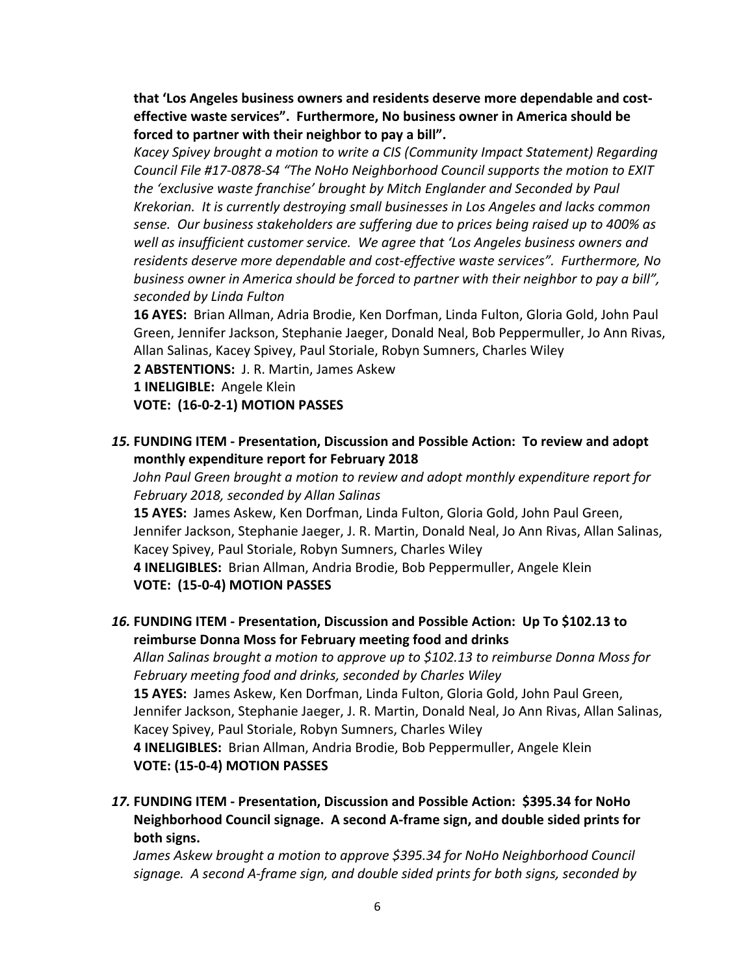that 'Los Angeles business owners and residents deserve more dependable and costeffective waste services". Furthermore, No business owner in America should be forced to partner with their neighbor to pay a bill".

Kacey Spivey brought a motion to write a CIS (Community Impact Statement) Regarding Council File #17-0878-S4 "The NoHo Neighborhood Council supports the motion to EXIT *the 'exclusive waste franchise' brought by Mitch Englander and Seconded by Paul Krekorian.* It is currently destroying small businesses in Los Angeles and lacks common sense. Our business stakeholders are suffering due to prices being raised up to 400% as well as insufficient customer service. We agree that 'Los Angeles business owners and residents deserve more dependable and cost-effective waste services". Furthermore, No *business owner in America should be forced to partner with their neighbor to pay a bill", seconded by Linda Fulton*

**16 AYES:** Brian Allman, Adria Brodie, Ken Dorfman, Linda Fulton, Gloria Gold, John Paul Green, Jennifer Jackson, Stephanie Jaeger, Donald Neal, Bob Peppermuller, Jo Ann Rivas, Allan Salinas, Kacey Spivey, Paul Storiale, Robyn Sumners, Charles Wiley

2 **ABSTENTIONS:** J. R. Martin, James Askew

1 **INELIGIBLE:** Angele Klein

**VOTE: (16-0-2-1) MOTION PASSES** 

**15. FUNDING ITEM - Presentation, Discussion and Possible Action: To review and adopt monthly expenditure report for February 2018** 

*John Paul Green brought a motion to review and adopt monthly expenditure report for February 2018, seconded by Allan Salinas*

**15 AYES:** James Askew, Ken Dorfman, Linda Fulton, Gloria Gold, John Paul Green, Jennifer Jackson, Stephanie Jaeger, J. R. Martin, Donald Neal, Jo Ann Rivas, Allan Salinas, Kacey Spivey, Paul Storiale, Robyn Sumners, Charles Wiley

4 **INELIGIBLES:** Brian Allman, Andria Brodie, Bob Peppermuller, Angele Klein **VOTE: (15-0-4) MOTION PASSES** 

# **16. FUNDING ITEM** - Presentation, Discussion and Possible Action: Up To \$102.13 to **reimburse Donna Moss for February meeting food and drinks**

Allan Salinas brought a motion to approve up to \$102.13 to reimburse Donna Moss for *February meeting food and drinks, seconded by Charles Wiley*

**15 AYES:** James Askew, Ken Dorfman, Linda Fulton, Gloria Gold, John Paul Green, Jennifer Jackson, Stephanie Jaeger, J. R. Martin, Donald Neal, Jo Ann Rivas, Allan Salinas, Kacey Spivey, Paul Storiale, Robyn Sumners, Charles Wiley

**4 INELIGIBLES:**Brian Allman, Andria Brodie, Bob Peppermuller, Angele Klein **VOTE: (15-0-4) MOTION PASSES** 

*17.* **FUNDING ITEM - Presentation, Discussion and Possible Action: \$395.34 for NoHo Neighborhood Council signage. A second A-frame sign, and double sided prints for both signs.**

James Askew brought a motion to approve \$395.34 for NoHo Neighborhood Council *signage. A second A-frame sign, and double sided prints for both signs, seconded by*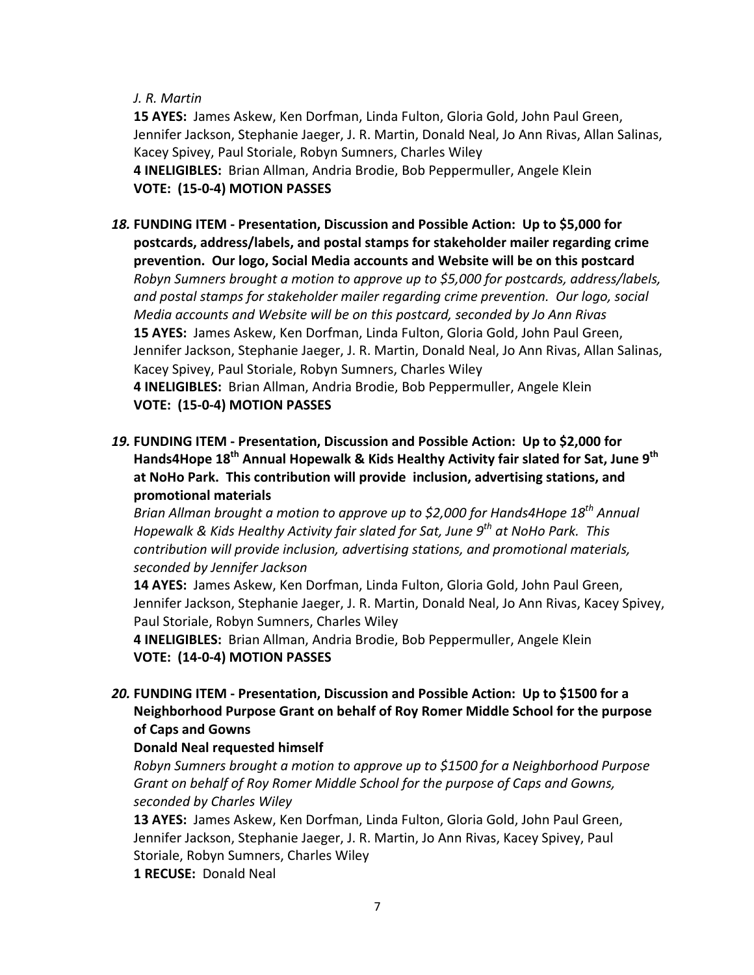### *J. R. Martin*

**15 AYES:** James Askew, Ken Dorfman, Linda Fulton, Gloria Gold, John Paul Green, Jennifer Jackson, Stephanie Jaeger, J. R. Martin, Donald Neal, Jo Ann Rivas, Allan Salinas, Kacey Spivey, Paul Storiale, Robyn Sumners, Charles Wiley 4 **INELIGIBLES:** Brian Allman, Andria Brodie, Bob Peppermuller, Angele Klein **VOTE: (15-0-4) MOTION PASSES** 

- 18. FUNDING ITEM Presentation, Discussion and Possible Action: Up to \$5,000 for postcards, address/labels, and postal stamps for stakeholder mailer regarding crime **prevention. Our logo, Social Media accounts and Website will be on this postcard** *Robyn Sumners brought a motion to approve up to \$5,000 for postcards, address/labels,* and postal stamps for stakeholder mailer regarding crime prevention. Our logo, social *Media accounts and Website will be on this postcard, seconded by Jo Ann Rivas* **15 AYES:** James Askew, Ken Dorfman, Linda Fulton, Gloria Gold, John Paul Green, Jennifer Jackson, Stephanie Jaeger, J. R. Martin, Donald Neal, Jo Ann Rivas, Allan Salinas, Kacey Spivey, Paul Storiale, Robyn Sumners, Charles Wiley 4 **INELIGIBLES:** Brian Allman, Andria Brodie, Bob Peppermuller, Angele Klein **VOTE: (15-0-4) MOTION PASSES**
- 19. FUNDING ITEM Presentation, Discussion and Possible Action: Up to \$2,000 for Hands4Hope 18<sup>th</sup> Annual Hopewalk & Kids Healthy Activity fair slated for Sat, June 9<sup>th</sup> at NoHo Park. This contribution will provide inclusion, advertising stations, and **promotional materials**

*Brian Allman brought a motion to approve up to \$2,000 for Hands4Hope 18<sup>th</sup> Annual Hopewalk & Kids Healthy Activity fair slated for Sat, June 9<sup>th</sup> at NoHo Park. This contribution will provide inclusion, advertising stations, and promotional materials, seconded by Jennifer Jackson*

**14 AYES:** James Askew, Ken Dorfman, Linda Fulton, Gloria Gold, John Paul Green, Jennifer Jackson, Stephanie Jaeger, J. R. Martin, Donald Neal, Jo Ann Rivas, Kacey Spivey, Paul Storiale, Robyn Sumners, Charles Wiley

4 **INELIGIBLES:** Brian Allman, Andria Brodie, Bob Peppermuller, Angele Klein **VOTE: (14-0-4) MOTION PASSES** 

20. FUNDING ITEM - Presentation, Discussion and Possible Action: Up to \$1500 for a **Neighborhood Purpose Grant on behalf of Roy Romer Middle School for the purpose of Caps and Gowns**

## **Donald Neal requested himself**

*Robyn Sumners brought a motion to approve up to \$1500 for a Neighborhood Purpose Grant* on behalf of Roy Romer Middle School for the purpose of Caps and Gowns, *seconded by Charles Wiley*

**13 AYES:** James Askew, Ken Dorfman, Linda Fulton, Gloria Gold, John Paul Green, Jennifer Jackson, Stephanie Jaeger, J. R. Martin, Jo Ann Rivas, Kacey Spivey, Paul Storiale, Robyn Sumners, Charles Wiley

**1 RECUSE: Donald Neal**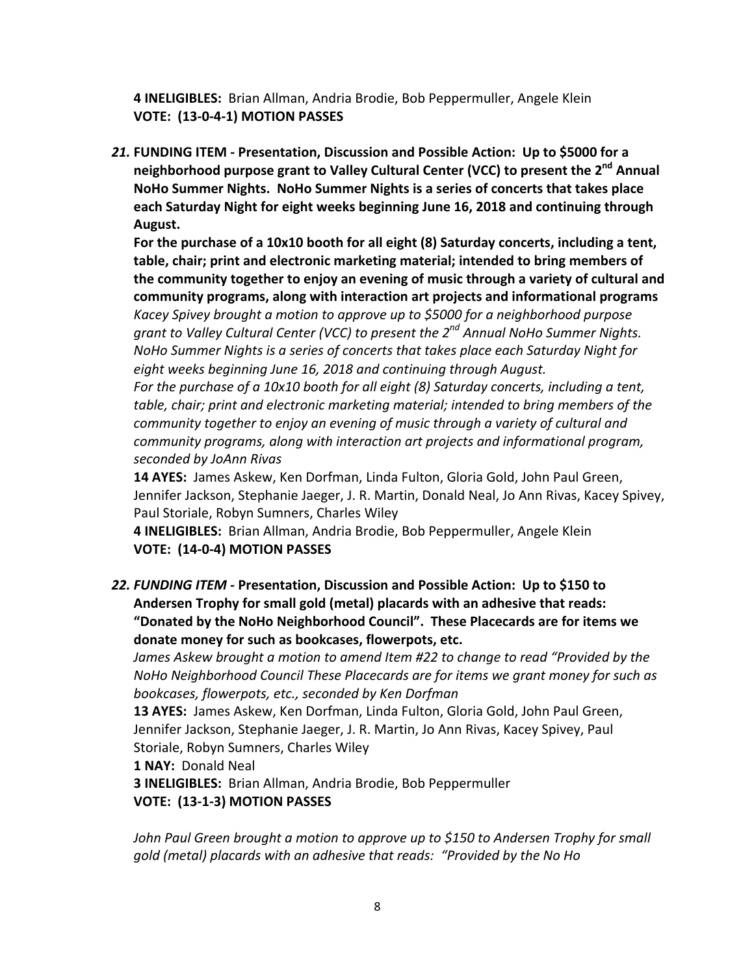4 **INELIGIBLES:** Brian Allman, Andria Brodie, Bob Peppermuller, Angele Klein **VOTE: (13-0-4-1) MOTION PASSES**

21. **FUNDING ITEM** - Presentation, Discussion and Possible Action: Up to \$5000 for a neighborhood purpose grant to Valley Cultural Center (VCC) to present the 2<sup>nd</sup> Annual **NoHo Summer Nights. NoHo Summer Nights is a series of concerts that takes place** each Saturday Night for eight weeks beginning June 16, 2018 and continuing through **August.**

For the purchase of a 10x10 booth for all eight (8) Saturday concerts, including a tent, table, chair; print and electronic marketing material; intended to bring members of the community together to enjoy an evening of music through a variety of cultural and **community programs, along with interaction art projects and informational programs** 

*Kacey Spivey brought a motion to approve up to \$5000 for a neighborhood purpose grant to Valley Cultural Center (VCC) to present the 2<sup>nd</sup> Annual NoHo Summer Nights. NoHo Summer Nights is a series of concerts that takes place each Saturday Night for* eight weeks beginning June 16, 2018 and continuing through August.

*For the purchase of a 10x10 booth for all eight (8) Saturday concerts, including a tent,* table, chair; print and electronic marketing material; intended to bring members of the *community* together to enjoy an evening of music through a variety of cultural and *community programs, along with interaction art projects and informational program, seconded by JoAnn Rivas*

**14 AYES:** James Askew, Ken Dorfman, Linda Fulton, Gloria Gold, John Paul Green, Jennifer Jackson, Stephanie Jaeger, J. R. Martin, Donald Neal, Jo Ann Rivas, Kacey Spivey, Paul Storiale, Robyn Sumners, Charles Wiley

4 **INELIGIBLES:** Brian Allman, Andria Brodie, Bob Peppermuller, Angele Klein **VOTE: (14-0-4) MOTION PASSES** 

22. *FUNDING ITEM* **- Presentation, Discussion and Possible Action: Up to \$150 to** Andersen Trophy for small gold (metal) placards with an adhesive that reads: "Donated by the NoHo Neighborhood Council". These Placecards are for items we donate money for such as bookcases, flowerpots, etc.

*James Askew brought a motion to amend Item #22 to change to read "Provided by the NoHo* Neighborhood Council These Placecards are for items we grant money for such as *bookcases, flowerpots, etc., seconded by Ken Dorfman*

**13 AYES:** James Askew, Ken Dorfman, Linda Fulton, Gloria Gold, John Paul Green, Jennifer Jackson, Stephanie Jaeger, J. R. Martin, Jo Ann Rivas, Kacey Spivey, Paul Storiale, Robyn Sumners, Charles Wiley

**1 NAY: Donald Neal** 

**3 INELIGIBLES:** Brian Allman, Andria Brodie, Bob Peppermuller **VOTE: (13-1-3) MOTION PASSES** 

*John Paul Green brought a motion to approve up to \$150 to Andersen Trophy for small gold (metal) placards with an adhesive that reads: "Provided by the No Ho*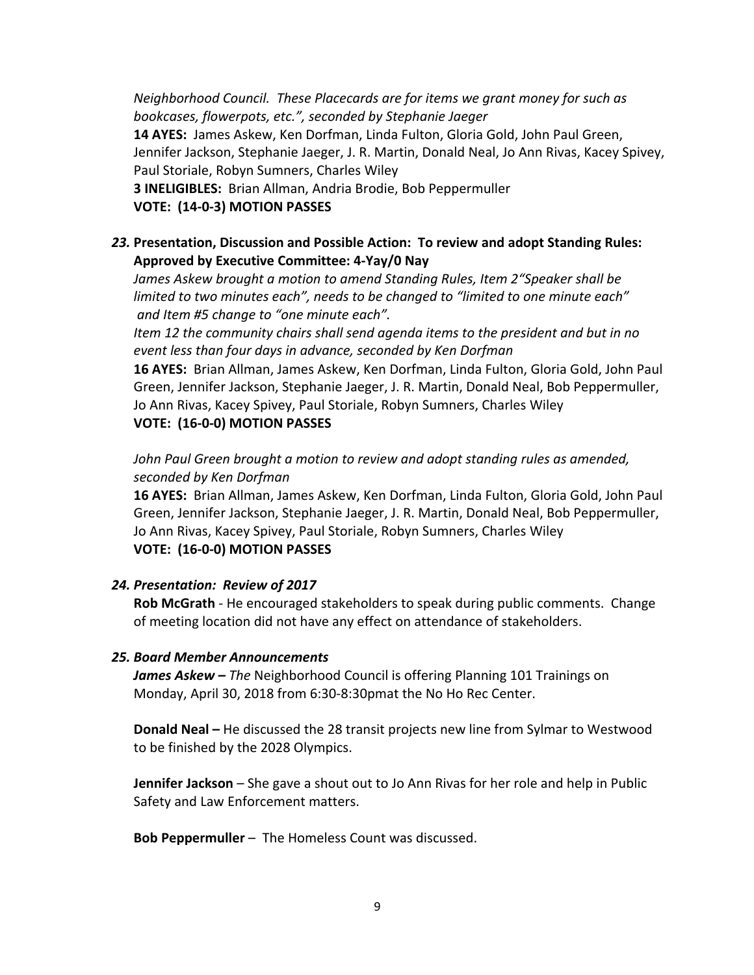*Neighborhood Council.* These Placecards are for items we grant money for such as *bookcases, flowerpots, etc.", seconded by Stephanie Jaeger* 14 AYES: James Askew, Ken Dorfman, Linda Fulton, Gloria Gold, John Paul Green, Jennifer Jackson, Stephanie Jaeger, J. R. Martin, Donald Neal, Jo Ann Rivas, Kacey Spivey, Paul Storiale, Robyn Sumners, Charles Wiley **3 INELIGIBLES:** Brian Allman, Andria Brodie, Bob Peppermuller **VOTE: (14-0-3) MOTION PASSES** 

# 23. Presentation, Discussion and Possible Action: To review and adopt Standing Rules: Approved by Executive Committee: 4-Yay/0 Nay

*James Askew brought a motion to amend Standing Rules, Item 2"Speaker shall be* limited to two minutes each", needs to be changed to "limited to one minute each" *and Item #5 change to "one minute each".*

*Item* 12 the community chairs shall send agenda items to the president and but in no event less than four days in advance, seconded by Ken Dorfman

**16 AYES:** Brian Allman, James Askew, Ken Dorfman, Linda Fulton, Gloria Gold, John Paul Green, Jennifer Jackson, Stephanie Jaeger, J. R. Martin, Donald Neal, Bob Peppermuller, Jo Ann Rivas, Kacey Spivey, Paul Storiale, Robyn Sumners, Charles Wiley **VOTE: (16-0-0) MOTION PASSES** 

*John Paul Green brought a motion to review and adopt standing rules as amended, seconded by Ken Dorfman*

**16 AYES:** Brian Allman, James Askew, Ken Dorfman, Linda Fulton, Gloria Gold, John Paul Green, Jennifer Jackson, Stephanie Jaeger, J. R. Martin, Donald Neal, Bob Peppermuller, Jo Ann Rivas, Kacey Spivey, Paul Storiale, Robyn Sumners, Charles Wiley **VOTE: (16-0-0) MOTION PASSES** 

## *24. Presentation: Review of 2017*

**Rob McGrath** - He encouraged stakeholders to speak during public comments. Change of meeting location did not have any effect on attendance of stakeholders.

## *25. Board Member Announcements*

*James Askew – The* Neighborhood Council is offering Planning 101 Trainings on Monday, April 30, 2018 from 6:30-8:30pmat the No Ho Rec Center.

**Donald Neal** – He discussed the 28 transit projects new line from Sylmar to Westwood to be finished by the 2028 Olympics.

**Jennifer Jackson** – She gave a shout out to Jo Ann Rivas for her role and help in Public Safety and Law Enforcement matters.

**Bob Peppermuller** – The Homeless Count was discussed.